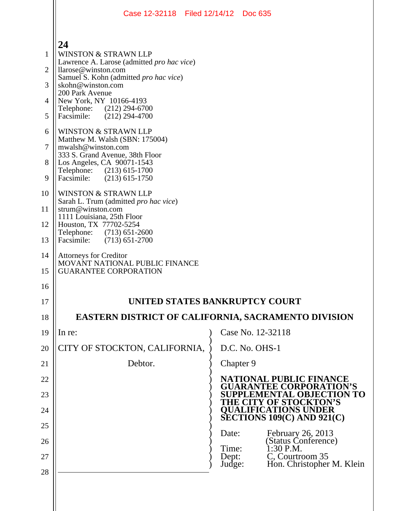|                | Case 12-32118 Filed 12/14/12 Doc 635                                                            |                 |                                                                  |
|----------------|-------------------------------------------------------------------------------------------------|-----------------|------------------------------------------------------------------|
|                | 24                                                                                              |                 |                                                                  |
| 1              | <b>WINSTON &amp; STRAWN LLP</b><br>Lawrence A. Larose (admitted <i>pro hac vice</i> )           |                 |                                                                  |
| 2              | llarose@winston.com<br>Samuel S. Kohn (admitted pro hac vice)                                   |                 |                                                                  |
| 3              | skohn@winston.com<br>200 Park Avenue                                                            |                 |                                                                  |
| 4              | New York, NY 10166-4193<br>Telephone: (212) 294-6700                                            |                 |                                                                  |
| 5              | $(212)$ 294-4700<br>Facsimile:                                                                  |                 |                                                                  |
| 6              | <b>WINSTON &amp; STRAWN LLP</b><br>Matthew M. Walsh (SBN: 175004)                               |                 |                                                                  |
| $\overline{7}$ | mwalsh@winston.com<br>333 S. Grand Avenue, 38th Floor                                           |                 |                                                                  |
| 8              | Los Angeles, CA 90071-1543<br>Telephone: (213) 615-1700                                         |                 |                                                                  |
| 9              | Facsimile:<br>$(213)$ 615-1750                                                                  |                 |                                                                  |
| 10             | WINSTON & STRAWN LLP<br>Sarah L. Trum (admitted <i>pro hac vice</i> )                           |                 |                                                                  |
| 11             | strum@winston.com<br>1111 Louisiana, 25th Floor                                                 |                 |                                                                  |
| 12             | Houston, TX 77702-5254<br>Telephone: (713) 651-2600                                             |                 |                                                                  |
| 13             | Facsimile:<br>$(713)$ 651-2700                                                                  |                 |                                                                  |
| 14<br>15       | <b>Attorneys for Creditor</b><br>MOVANT NATIONAL PUBLIC FINANCE<br><b>GUARANTEE CORPORATION</b> |                 |                                                                  |
| 16             |                                                                                                 |                 |                                                                  |
| 17             | UNITED STATES BANKRUPTCY COURT                                                                  |                 |                                                                  |
| 18             | EASTERN DISTRICT OF CALIFORNIA, SACRAMENTO DIVISION                                             |                 |                                                                  |
| 19             | In re:                                                                                          |                 | Case No. 12-32118                                                |
| 20             | CITY OF STOCKTON, CALIFORNIA,                                                                   |                 | D.C. No. OHS-1                                                   |
| 21             | Debtor.                                                                                         |                 | Chapter 9                                                        |
| 22             |                                                                                                 |                 | <b>NATIONAL PUBLIC FINANCE</b><br><b>GUARANTEE CORPORATION'S</b> |
| 23             |                                                                                                 |                 | <b>LEMENTAL OBJECTION TO</b><br><b>HE CITY OF STOCKTON'S</b>     |
| 24             |                                                                                                 |                 | <b>QUALIFICATIONS UNDER</b><br>SECTIONS $109(C)$ AND $921(C)$    |
| 25             |                                                                                                 | Date:           | February 26, 2013                                                |
| 26             |                                                                                                 | Time:           | (Status Conference)<br>1:30 P.M.                                 |
| 27             |                                                                                                 | Dept:<br>Judge: | C, Courtroom 35<br>Hon. Christopher M. Klein                     |
| 28             |                                                                                                 |                 |                                                                  |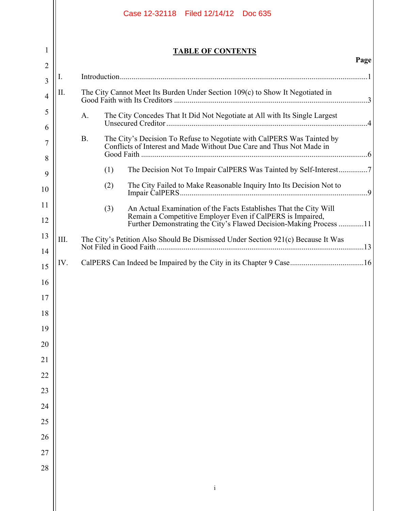|                |      | Case 12-32118 Filed 12/14/12 Doc 635                                                                                                                                                                         |      |
|----------------|------|--------------------------------------------------------------------------------------------------------------------------------------------------------------------------------------------------------------|------|
| 1              |      | <b>TABLE OF CONTENTS</b>                                                                                                                                                                                     | Page |
| $\overline{2}$ | 1.   |                                                                                                                                                                                                              |      |
| 3              | П.   | The City Cannot Meet Its Burden Under Section 109(c) to Show It Negotiated in                                                                                                                                |      |
| $\overline{4}$ |      |                                                                                                                                                                                                              |      |
| 5<br>6         |      | The City Concedes That It Did Not Negotiate at All with Its Single Largest<br>A.                                                                                                                             |      |
| 7              |      | The City's Decision To Refuse to Negotiate with CalPERS Was Tainted by<br><b>B.</b><br>Conflicts of Interest and Made Without Due Care and Thus Not Made in                                                  |      |
| 8              |      | The Decision Not To Impair CalPERS Was Tainted by Self-Interest7                                                                                                                                             |      |
| 9              |      | (1)<br>The City Failed to Make Reasonable Inquiry Into Its Decision Not to<br>(2)                                                                                                                            |      |
| 10             |      |                                                                                                                                                                                                              |      |
| 11<br>12       |      | (3)<br>An Actual Examination of the Facts Establishes That the City Will<br>Remain a Competitive Employer Even if CalPERS is Impaired,<br>Further Demonstrating the City's Flawed Decision-Making Process 11 |      |
| 13             | III. | The City's Petition Also Should Be Dismissed Under Section 921(c) Because It Was                                                                                                                             |      |
| 14             | IV.  |                                                                                                                                                                                                              |      |
| 15             |      |                                                                                                                                                                                                              |      |
| 16<br>17       |      |                                                                                                                                                                                                              |      |
| 18             |      |                                                                                                                                                                                                              |      |
| 19             |      |                                                                                                                                                                                                              |      |
| 20             |      |                                                                                                                                                                                                              |      |
| 21             |      |                                                                                                                                                                                                              |      |
| $22\,$         |      |                                                                                                                                                                                                              |      |
| 23             |      |                                                                                                                                                                                                              |      |
| 24             |      |                                                                                                                                                                                                              |      |
| 25             |      |                                                                                                                                                                                                              |      |
| 26             |      |                                                                                                                                                                                                              |      |
| 27             |      |                                                                                                                                                                                                              |      |
| 28             |      |                                                                                                                                                                                                              |      |
|                |      | $\rm i$                                                                                                                                                                                                      |      |
|                |      |                                                                                                                                                                                                              |      |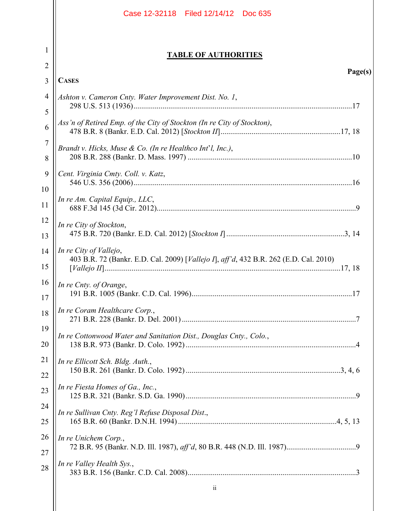|                     | Case 12-32118 Filed 12/14/12 Doc 635                                                                            |
|---------------------|-----------------------------------------------------------------------------------------------------------------|
| 1                   | <b>TABLE OF AUTHORITIES</b>                                                                                     |
| $\overline{2}$<br>3 | Page(s)<br><b>CASES</b>                                                                                         |
| 4                   |                                                                                                                 |
| 5                   | Ashton v. Cameron Cnty. Water Improvement Dist. No. 1,                                                          |
| 6                   | Ass'n of Retired Emp. of the City of Stockton (In re City of Stockton),                                         |
| 7<br>8              | Brandt v. Hicks, Muse & Co. (In re Healthco Int'l, Inc.),                                                       |
| 9                   | Cent. Virginia Cmty. Coll. v. Katz,                                                                             |
| 10                  |                                                                                                                 |
| 11                  | In re Am. Capital Equip., LLC,                                                                                  |
| 12                  | In re City of Stockton,                                                                                         |
| 13                  |                                                                                                                 |
| 14                  | In re City of Vallejo,<br>403 B.R. 72 (Bankr. E.D. Cal. 2009) [Vallejo I], aff'd, 432 B.R. 262 (E.D. Cal. 2010) |
| 15                  |                                                                                                                 |
| 16<br>17            | In re Cnty. of Orange,                                                                                          |
| 18                  | In re Coram Healthcare Corp.,                                                                                   |
| 19<br>20            | In re Cottonwood Water and Sanitation Dist., Douglas Cnty., Colo.,                                              |
| 21                  | In re Ellicott Sch. Bldg. Auth.,                                                                                |
| 22                  | In re Fiesta Homes of Ga., Inc.,                                                                                |
| 23                  |                                                                                                                 |
| 24<br>25            | In re Sullivan Cnty. Reg'l Refuse Disposal Dist.,                                                               |
| 26                  | In re Unichem Corp.,                                                                                            |
| 27                  |                                                                                                                 |
| 28                  | In re Valley Health Sys.,                                                                                       |
|                     | $\overline{\mathbf{u}}$                                                                                         |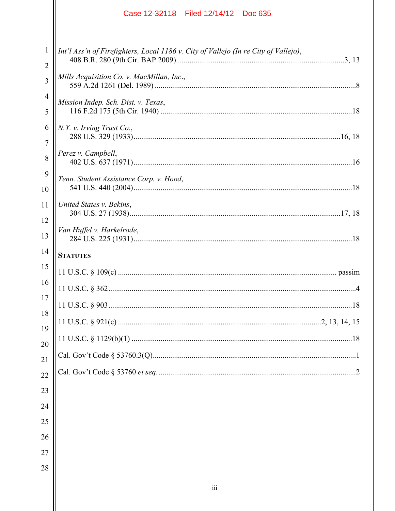|                                | Case 12-32118 Filed 12/14/12 Doc 635                                                |
|--------------------------------|-------------------------------------------------------------------------------------|
| $\mathbf{1}$<br>$\overline{2}$ | Int'l Ass'n of Firefighters, Local 1186 v. City of Vallejo (In re City of Vallejo), |
| 3                              | Mills Acquisition Co. v. MacMillan, Inc.,                                           |
| 4                              | Mission Indep. Sch. Dist. v. Texas,                                                 |
| 5                              |                                                                                     |
| 6<br>7                         | N.Y. v. Irving Trust Co.,                                                           |
| 8                              | Perez v. Campbell,                                                                  |
| 9<br>10                        | Tenn. Student Assistance Corp. v. Hood,                                             |
| 11                             | United States v. Bekins,                                                            |
| 12                             |                                                                                     |
| 13                             | Van Huffel v. Harkelrode,                                                           |
| 14                             | <b>STATUTES</b>                                                                     |
| 15                             |                                                                                     |
| 16                             | 11 U.S.C. § 362<br>4                                                                |
| 17<br>18                       |                                                                                     |
| 19                             |                                                                                     |
| 20                             |                                                                                     |
| 21                             |                                                                                     |
| 22                             |                                                                                     |
| 23                             |                                                                                     |
| 24                             |                                                                                     |
| 25                             |                                                                                     |
| 26                             |                                                                                     |
| 27                             |                                                                                     |
| 28                             |                                                                                     |
|                                | iii                                                                                 |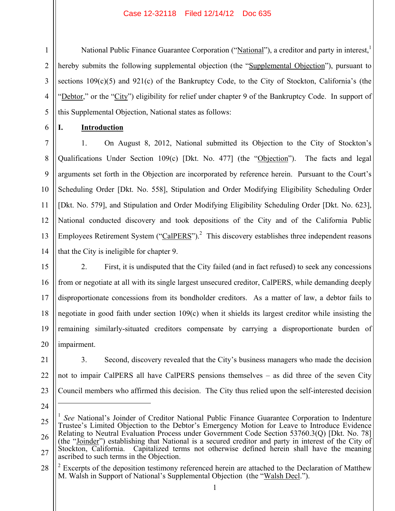National Public Finance Guarantee Corporation ("National"), a creditor and party in interest,<sup>1</sup> hereby submits the following supplemental objection (the "Supplemental Objection"), pursuant to sections 109(c)(5) and 921(c) of the Bankruptcy Code, to the City of Stockton, California's (the "Debtor," or the "City") eligibility for relief under chapter 9 of the Bankruptcy Code. In support of this Supplemental Objection, National states as follows:

**I. Introduction**

1

2

3

4

5

6

7 8 9 10 11 12 1. On August 8, 2012, National submitted its Objection to the City of Stockton's Qualifications Under Section 109(c) [Dkt. No. 477] (the "Objection"). The facts and legal arguments set forth in the Objection are incorporated by reference herein. Pursuant to the Court's Scheduling Order [Dkt. No. 558], Stipulation and Order Modifying Eligibility Scheduling Order [Dkt. No. 579], and Stipulation and Order Modifying Eligibility Scheduling Order [Dkt. No. 623], National conducted discovery and took depositions of the City and of the California Public Employees Retirement System (" $CalPERS$ ").<sup>2</sup> This discovery establishes three independent reasons that the City is ineligible for chapter 9.

15 16 17 18 19 20 2. First, it is undisputed that the City failed (and in fact refused) to seek any concessions from or negotiate at all with its single largest unsecured creditor, CalPERS, while demanding deeply disproportionate concessions from its bondholder creditors. As a matter of law, a debtor fails to negotiate in good faith under section 109(c) when it shields its largest creditor while insisting the remaining similarly-situated creditors compensate by carrying a disproportionate burden of impairment.

- 21 22 23 3. Second, discovery revealed that the City's business managers who made the decision not to impair CalPERS all have CalPERS pensions themselves – as did three of the seven City Council members who affirmed this decision. The City thus relied upon the self-interested decision
- 24

 $\overline{a}$ 

<sup>25</sup> 26 27 <sup>1</sup> *See* National's Joinder of Creditor National Public Finance Guarantee Corporation to Indenture Trustee's Limited Objection to the Debtor's Emergency Motion for Leave to Introduce Evidence Relating to Neutral Evaluation Process under Government Code Section 53760.3(Q) [Dkt. No. 78] (the "Joinder") establishing that National is a secured creditor and party in interest of the City of Stockton, California. Capitalized terms not otherwise defined herein shall have the meaning ascribed to such terms in the Objection.

<sup>28</sup>  $2^{2}$  Excerpts of the deposition testimony referenced herein are attached to the Declaration of Matthew M. Walsh in Support of National's Supplemental Objection (the "Walsh Decl.").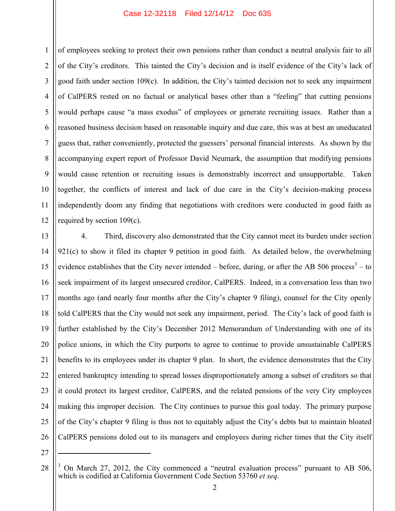1 2 3 4 5 6 7 8 9 10 11 12 of employees seeking to protect their own pensions rather than conduct a neutral analysis fair to all of the City's creditors. This tainted the City's decision and is itself evidence of the City's lack of good faith under section 109(c). In addition, the City's tainted decision not to seek any impairment of CalPERS rested on no factual or analytical bases other than a "feeling" that cutting pensions would perhaps cause "a mass exodus" of employees or generate recruiting issues. Rather than a reasoned business decision based on reasonable inquiry and due care, this was at best an uneducated guess that, rather conveniently, protected the guessers' personal financial interests. As shown by the accompanying expert report of Professor David Neumark, the assumption that modifying pensions would cause retention or recruiting issues is demonstrably incorrect and unsupportable. Taken together, the conflicts of interest and lack of due care in the City's decision-making process independently doom any finding that negotiations with creditors were conducted in good faith as required by section 109(c).

13 14 15 16 17 18 19 20 21 22 23 24 25 26 4. Third, discovery also demonstrated that the City cannot meet its burden under section  $921(c)$  to show it filed its chapter 9 petition in good faith. As detailed below, the overwhelming evidence establishes that the City never intended – before, during, or after the AB 506 process<sup>3</sup> – to seek impairment of its largest unsecured creditor, CalPERS. Indeed, in a conversation less than two months ago (and nearly four months after the City's chapter 9 filing), counsel for the City openly told CalPERS that the City would not seek any impairment, period. The City's lack of good faith is further established by the City's December 2012 Memorandum of Understanding with one of its police unions, in which the City purports to agree to continue to provide unsustainable CalPERS benefits to its employees under its chapter 9 plan. In short, the evidence demonstrates that the City entered bankruptcy intending to spread losses disproportionately among a subset of creditors so that it could protect its largest creditor, CalPERS, and the related pensions of the very City employees making this improper decision. The City continues to pursue this goal today. The primary purpose of the City's chapter 9 filing is thus not to equitably adjust the City's debts but to maintain bloated CalPERS pensions doled out to its managers and employees during richer times that the City itself

27

1

<sup>3</sup> On March 27, 2012, the City commenced a "neutral evaluation process" pursuant to AB 506, which is codified at California Government Code Section 53760 *et seq*.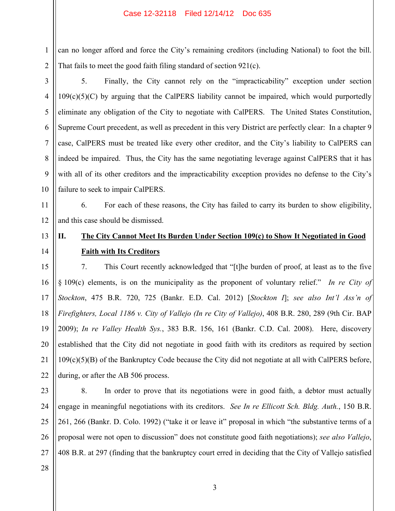1 2 can no longer afford and force the City's remaining creditors (including National) to foot the bill. That fails to meet the good faith filing standard of section 921(c).

3 4 5 6 7 8 9 10 5. Finally, the City cannot rely on the "impracticability" exception under section  $109(c)(5)(C)$  by arguing that the CalPERS liability cannot be impaired, which would purportedly eliminate any obligation of the City to negotiate with CalPERS. The United States Constitution, Supreme Court precedent, as well as precedent in this very District are perfectly clear: In a chapter 9 case, CalPERS must be treated like every other creditor, and the City's liability to CalPERS can indeed be impaired. Thus, the City has the same negotiating leverage against CalPERS that it has with all of its other creditors and the impracticability exception provides no defense to the City's failure to seek to impair CalPERS.

11 12 6. For each of these reasons, the City has failed to carry its burden to show eligibility, and this case should be dismissed.

# **II. The City Cannot Meet Its Burden Under Section 109(c) to Show It Negotiated in Good Faith with Its Creditors**

15 16 17 18 19 20 21 22 7. This Court recently acknowledged that "[t]he burden of proof, at least as to the five § 109(c) elements, is on the municipality as the proponent of voluntary relief." *In re City of Stockton*, 475 B.R. 720, 725 (Bankr. E.D. Cal. 2012) [*Stockton I*]; *see also Int'l Ass'n of Firefighters, Local 1186 v. City of Vallejo (In re City of Vallejo)*, 408 B.R. 280, 289 (9th Cir. BAP 2009); *In re Valley Health Sys.*, 383 B.R. 156, 161 (Bankr. C.D. Cal. 2008). Here, discovery established that the City did not negotiate in good faith with its creditors as required by section 109(c)(5)(B) of the Bankruptcy Code because the City did not negotiate at all with CalPERS before, during, or after the AB 506 process.

23

24

25

26

27

13

14

8. In order to prove that its negotiations were in good faith, a debtor must actually engage in meaningful negotiations with its creditors. *See In re Ellicott Sch. Bldg. Auth.*, 150 B.R. 261, 266 (Bankr. D. Colo. 1992) ("take it or leave it" proposal in which "the substantive terms of a proposal were not open to discussion" does not constitute good faith negotiations); *see also Vallejo*, 408 B.R. at 297 (finding that the bankruptcy court erred in deciding that the City of Vallejo satisfied

28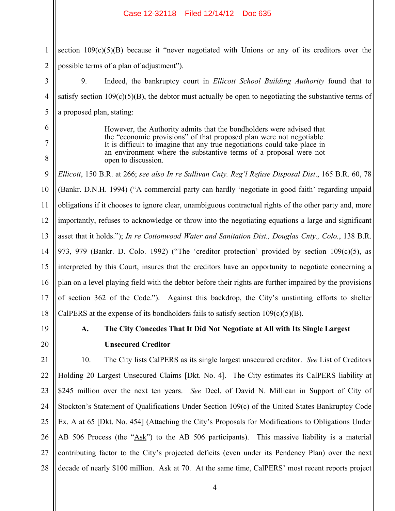1 2 section  $109(c)(5)(B)$  because it "never negotiated with Unions or any of its creditors over the possible terms of a plan of adjustment").

9. Indeed, the bankruptcy court in *Ellicott School Building Authority* found that to satisfy section  $109(c)(5)(B)$ , the debtor must actually be open to negotiating the substantive terms of a proposed plan, stating:

> However, the Authority admits that the bondholders were advised that the "economic provisions" of that proposed plan were not negotiable. It is difficult to imagine that any true negotiations could take place in an environment where the substantive terms of a proposal were not open to discussion.

9 10 11 12 13 14 15 16 17 18 *Ellicott*, 150 B.R. at 266; *see also In re Sullivan Cnty. Reg'l Refuse Disposal Dist*., 165 B.R. 60, 78 (Bankr. D.N.H. 1994) ("A commercial party can hardly 'negotiate in good faith' regarding unpaid obligations if it chooses to ignore clear, unambiguous contractual rights of the other party and, more importantly, refuses to acknowledge or throw into the negotiating equations a large and significant asset that it holds."); *In re Cottonwood Water and Sanitation Dist., Douglas Cnty., Colo.*, 138 B.R. 973, 979 (Bankr. D. Colo. 1992) ("The 'creditor protection' provided by section 109(c)(5), as interpreted by this Court, insures that the creditors have an opportunity to negotiate concerning a plan on a level playing field with the debtor before their rights are further impaired by the provisions of section 362 of the Code."). Against this backdrop, the City's unstinting efforts to shelter CalPERS at the expense of its bondholders fails to satisfy section  $109(c)(5)(B)$ .

19 20

3

4

5

6

7

8

# **A. The City Concedes That It Did Not Negotiate at All with Its Single Largest Unsecured Creditor**

21 22 23 24 25 26 27 28 10. The City lists CalPERS as its single largest unsecured creditor. *See* List of Creditors Holding 20 Largest Unsecured Claims [Dkt. No. 4]. The City estimates its CalPERS liability at \$245 million over the next ten years. *See* Decl. of David N. Millican in Support of City of Stockton's Statement of Qualifications Under Section 109(c) of the United States Bankruptcy Code Ex. A at 65 [Dkt. No. 454] (Attaching the City's Proposals for Modifications to Obligations Under AB 506 Process (the "Ask") to the AB 506 participants). This massive liability is a material contributing factor to the City's projected deficits (even under its Pendency Plan) over the next decade of nearly \$100 million. Ask at 70. At the same time, CalPERS' most recent reports project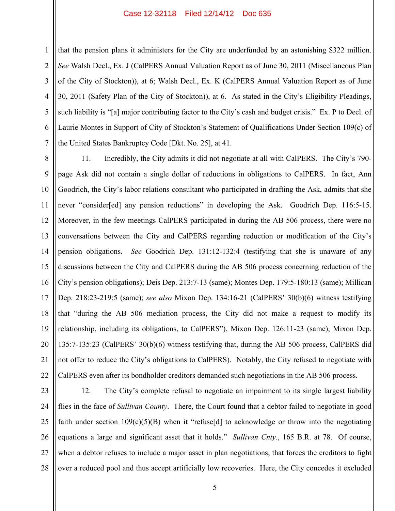1

2

3

4

5

6

7

that the pension plans it administers for the City are underfunded by an astonishing \$322 million. *See* Walsh Decl., Ex. J (CalPERS Annual Valuation Report as of June 30, 2011 (Miscellaneous Plan of the City of Stockton)), at 6; Walsh Decl., Ex. K (CalPERS Annual Valuation Report as of June 30, 2011 (Safety Plan of the City of Stockton)), at 6. As stated in the City's Eligibility Pleadings, such liability is "[a] major contributing factor to the City's cash and budget crisis." Ex. P to Decl. of Laurie Montes in Support of City of Stockton's Statement of Qualifications Under Section 109(c) of the United States Bankruptcy Code [Dkt. No. 25], at 41.

8 9 10 11 12 13 14 15 16 17 18 19 20 21 22 11. Incredibly, the City admits it did not negotiate at all with CalPERS. The City's 790 page Ask did not contain a single dollar of reductions in obligations to CalPERS. In fact, Ann Goodrich, the City's labor relations consultant who participated in drafting the Ask, admits that she never "consider[ed] any pension reductions" in developing the Ask. Goodrich Dep. 116:5-15. Moreover, in the few meetings CalPERS participated in during the AB 506 process, there were no conversations between the City and CalPERS regarding reduction or modification of the City's pension obligations. *See* Goodrich Dep. 131:12-132:4 (testifying that she is unaware of any discussions between the City and CalPERS during the AB 506 process concerning reduction of the City's pension obligations); Deis Dep. 213:7-13 (same); Montes Dep. 179:5-180:13 (same); Millican Dep. 218:23-219:5 (same); *see also* Mixon Dep. 134:16-21 (CalPERS' 30(b)(6) witness testifying that "during the AB 506 mediation process, the City did not make a request to modify its relationship, including its obligations, to CalPERS"), Mixon Dep. 126:11-23 (same), Mixon Dep. 135:7-135:23 (CalPERS' 30(b)(6) witness testifying that, during the AB 506 process, CalPERS did not offer to reduce the City's obligations to CalPERS). Notably, the City refused to negotiate with CalPERS even after its bondholder creditors demanded such negotiations in the AB 506 process.

23 24 25 26 27 28 12. The City's complete refusal to negotiate an impairment to its single largest liability flies in the face of *Sullivan County*. There, the Court found that a debtor failed to negotiate in good faith under section  $109(c)(5)(B)$  when it "refuse[d] to acknowledge or throw into the negotiating equations a large and significant asset that it holds." *Sullivan Cnty.*, 165 B.R. at 78. Of course, when a debtor refuses to include a major asset in plan negotiations, that forces the creditors to fight over a reduced pool and thus accept artificially low recoveries. Here, the City concedes it excluded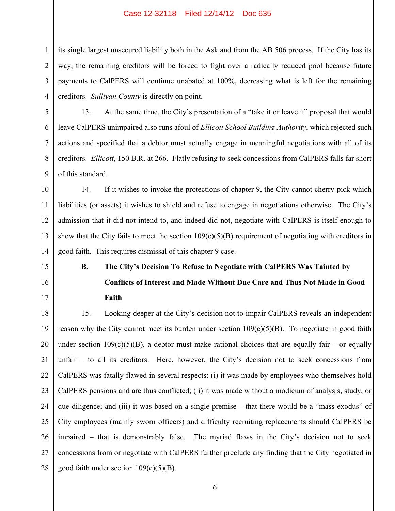1 2 3 4 its single largest unsecured liability both in the Ask and from the AB 506 process. If the City has its way, the remaining creditors will be forced to fight over a radically reduced pool because future payments to CalPERS will continue unabated at 100%, decreasing what is left for the remaining creditors. *Sullivan County* is directly on point.

5

6

7

8

9

13. At the same time, the City's presentation of a "take it or leave it" proposal that would leave CalPERS unimpaired also runs afoul of *Ellicott School Building Authority*, which rejected such actions and specified that a debtor must actually engage in meaningful negotiations with all of its creditors. *Ellicott*, 150 B.R. at 266. Flatly refusing to seek concessions from CalPERS falls far short of this standard.

10 11 12 13 14 14. If it wishes to invoke the protections of chapter 9, the City cannot cherry-pick which liabilities (or assets) it wishes to shield and refuse to engage in negotiations otherwise. The City's admission that it did not intend to, and indeed did not, negotiate with CalPERS is itself enough to show that the City fails to meet the section  $109(c)(5)(B)$  requirement of negotiating with creditors in good faith. This requires dismissal of this chapter 9 case.

15

16

17

# **B. The City's Decision To Refuse to Negotiate with CalPERS Was Tainted by**

**Conflicts of Interest and Made Without Due Care and Thus Not Made in Good Faith** 

18 19 20 21 22 23 24 25 26 27 28 15. Looking deeper at the City's decision not to impair CalPERS reveals an independent reason why the City cannot meet its burden under section  $109(c)(5)(B)$ . To negotiate in good faith under section  $109(c)(5)(B)$ , a debtor must make rational choices that are equally fair – or equally unfair – to all its creditors. Here, however, the City's decision not to seek concessions from CalPERS was fatally flawed in several respects: (i) it was made by employees who themselves hold CalPERS pensions and are thus conflicted; (ii) it was made without a modicum of analysis, study, or due diligence; and (iii) it was based on a single premise – that there would be a "mass exodus" of City employees (mainly sworn officers) and difficulty recruiting replacements should CalPERS be impaired – that is demonstrably false. The myriad flaws in the City's decision not to seek concessions from or negotiate with CalPERS further preclude any finding that the City negotiated in good faith under section  $109(c)(5)(B)$ .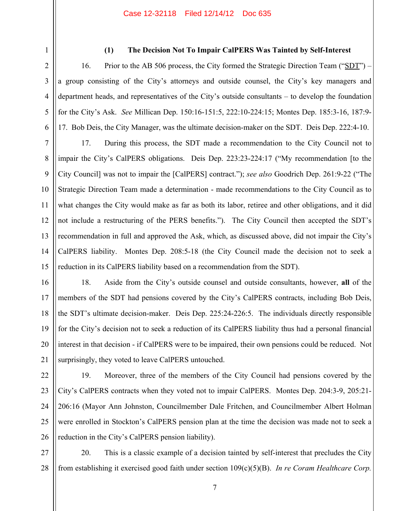2 3 4

5

6

7

8

9

11

12

1

## **(1) The Decision Not To Impair CalPERS Was Tainted by Self-Interest**

16. Prior to the AB 506 process, the City formed the Strategic Direction Team ("SDT") – a group consisting of the City's attorneys and outside counsel, the City's key managers and department heads, and representatives of the City's outside consultants – to develop the foundation for the City's Ask. *See* Millican Dep. 150:16-151:5, 222:10-224:15; Montes Dep. 185:3-16, 187:9- 17. Bob Deis, the City Manager, was the ultimate decision-maker on the SDT. Deis Dep. 222:4-10.

10 13 14 15 17. During this process, the SDT made a recommendation to the City Council not to impair the City's CalPERS obligations. Deis Dep. 223:23-224:17 ("My recommendation [to the City Council] was not to impair the [CalPERS] contract."); *see also* Goodrich Dep. 261:9-22 ("The Strategic Direction Team made a determination - made recommendations to the City Council as to what changes the City would make as far as both its labor, retiree and other obligations, and it did not include a restructuring of the PERS benefits."). The City Council then accepted the SDT's recommendation in full and approved the Ask, which, as discussed above, did not impair the City's CalPERS liability. Montes Dep. 208:5-18 (the City Council made the decision not to seek a reduction in its CalPERS liability based on a recommendation from the SDT).

16 17

18

19

20

21

18. Aside from the City's outside counsel and outside consultants, however, **all** of the members of the SDT had pensions covered by the City's CalPERS contracts, including Bob Deis, the SDT's ultimate decision-maker. Deis Dep. 225:24-226:5. The individuals directly responsible for the City's decision not to seek a reduction of its CalPERS liability thus had a personal financial interest in that decision - if CalPERS were to be impaired, their own pensions could be reduced. Not surprisingly, they voted to leave CalPERS untouched.

22 23 24 25 26 19. Moreover, three of the members of the City Council had pensions covered by the City's CalPERS contracts when they voted not to impair CalPERS. Montes Dep. 204:3-9, 205:21- 206:16 (Mayor Ann Johnston, Councilmember Dale Fritchen, and Councilmember Albert Holman were enrolled in Stockton's CalPERS pension plan at the time the decision was made not to seek a reduction in the City's CalPERS pension liability).

27 28 20. This is a classic example of a decision tainted by self-interest that precludes the City from establishing it exercised good faith under section 109(c)(5)(B). *In re Coram Healthcare Corp.*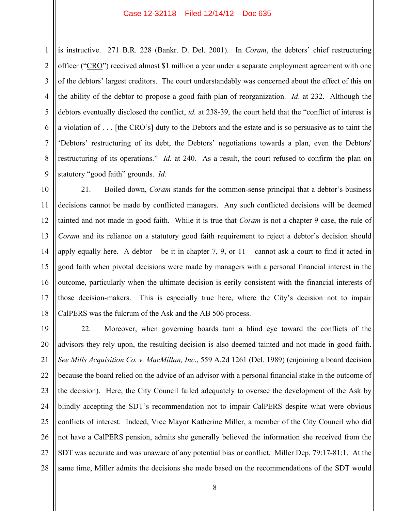1 2 3 4 5 6 7 8 9 is instructive. 271 B.R. 228 (Bankr. D. Del. 2001). In *Coram*, the debtors' chief restructuring officer ("CRO") received almost \$1 million a year under a separate employment agreement with one of the debtors' largest creditors. The court understandably was concerned about the effect of this on the ability of the debtor to propose a good faith plan of reorganization. *Id*. at 232. Although the debtors eventually disclosed the conflict, *id.* at 238-39, the court held that the "conflict of interest is a violation of . . . [the CRO's] duty to the Debtors and the estate and is so persuasive as to taint the 'Debtors' restructuring of its debt, the Debtors' negotiations towards a plan, even the Debtors' restructuring of its operations." *Id.* at 240. As a result, the court refused to confirm the plan on statutory "good faith" grounds. *Id.*

10 11 12 13 14 15 16 17 18 21. Boiled down, *Coram* stands for the common-sense principal that a debtor's business decisions cannot be made by conflicted managers. Any such conflicted decisions will be deemed tainted and not made in good faith. While it is true that *Coram* is not a chapter 9 case, the rule of *Coram* and its reliance on a statutory good faith requirement to reject a debtor's decision should apply equally here. A debtor – be it in chapter 7, 9, or  $11$  – cannot ask a court to find it acted in good faith when pivotal decisions were made by managers with a personal financial interest in the outcome, particularly when the ultimate decision is eerily consistent with the financial interests of those decision-makers. This is especially true here, where the City's decision not to impair CalPERS was the fulcrum of the Ask and the AB 506 process.

19 20 21 22 23 24 25 26 27 28 22. Moreover, when governing boards turn a blind eye toward the conflicts of the advisors they rely upon, the resulting decision is also deemed tainted and not made in good faith. *See Mills Acquisition Co. v. MacMillan, Inc*., 559 A.2d 1261 (Del. 1989) (enjoining a board decision because the board relied on the advice of an advisor with a personal financial stake in the outcome of the decision). Here, the City Council failed adequately to oversee the development of the Ask by blindly accepting the SDT's recommendation not to impair CalPERS despite what were obvious conflicts of interest. Indeed, Vice Mayor Katherine Miller, a member of the City Council who did not have a CalPERS pension, admits she generally believed the information she received from the SDT was accurate and was unaware of any potential bias or conflict. Miller Dep. 79:17-81:1. At the same time, Miller admits the decisions she made based on the recommendations of the SDT would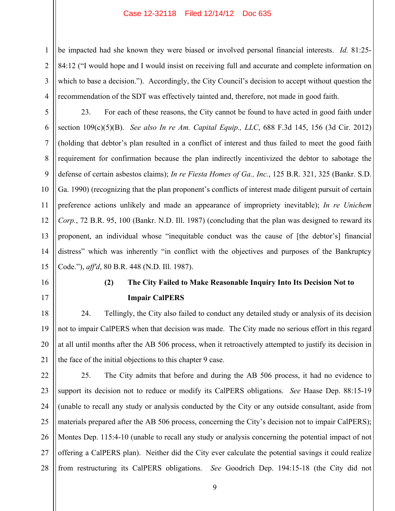be impacted had she known they were biased or involved personal financial interests. *Id.* 81:25- 84:12 ("I would hope and I would insist on receiving full and accurate and complete information on which to base a decision."). Accordingly, the City Council's decision to accept without question the recommendation of the SDT was effectively tainted and, therefore, not made in good faith.

5 6 7 8 9 10 11 12 13 14 15 23. For each of these reasons, the City cannot be found to have acted in good faith under section 109(c)(5)(B). *See also In re Am. Capital Equip., LLC*, 688 F.3d 145, 156 (3d Cir. 2012) (holding that debtor's plan resulted in a conflict of interest and thus failed to meet the good faith requirement for confirmation because the plan indirectly incentivized the debtor to sabotage the defense of certain asbestos claims); *In re Fiesta Homes of Ga., Inc.*, 125 B.R. 321, 325 (Bankr. S.D. Ga. 1990) (recognizing that the plan proponent's conflicts of interest made diligent pursuit of certain preference actions unlikely and made an appearance of impropriety inevitable); *In re Unichem Corp.*, 72 B.R. 95, 100 (Bankr. N.D. Ill. 1987) (concluding that the plan was designed to reward its proponent, an individual whose "inequitable conduct was the cause of [the debtor's] financial distress" which was inherently "in conflict with the objectives and purposes of the Bankruptcy Code."), *aff'd*, 80 B.R. 448 (N.D. Ill. 1987).

16

1

2

3

4

17

# **(2) The City Failed to Make Reasonable Inquiry Into Its Decision Not to Impair CalPERS**

18 19 20 21 24. Tellingly, the City also failed to conduct any detailed study or analysis of its decision not to impair CalPERS when that decision was made. The City made no serious effort in this regard at all until months after the AB 506 process, when it retroactively attempted to justify its decision in the face of the initial objections to this chapter 9 case.

22 23 24 25 26 27 28 25. The City admits that before and during the AB 506 process, it had no evidence to support its decision not to reduce or modify its CalPERS obligations. *See* Haase Dep. 88:15-19 (unable to recall any study or analysis conducted by the City or any outside consultant, aside from materials prepared after the AB 506 process, concerning the City's decision not to impair CalPERS); Montes Dep. 115:4-10 (unable to recall any study or analysis concerning the potential impact of not offering a CalPERS plan). Neither did the City ever calculate the potential savings it could realize from restructuring its CalPERS obligations. *See* Goodrich Dep. 194:15-18 (the City did not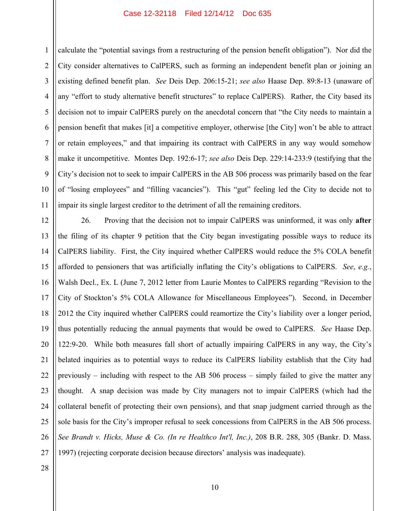2 3 4 5 6 7 8 9 10 11 calculate the "potential savings from a restructuring of the pension benefit obligation"). Nor did the City consider alternatives to CalPERS, such as forming an independent benefit plan or joining an existing defined benefit plan. *See* Deis Dep. 206:15-21; *see also* Haase Dep. 89:8-13 (unaware of any "effort to study alternative benefit structures" to replace CalPERS). Rather, the City based its decision not to impair CalPERS purely on the anecdotal concern that "the City needs to maintain a pension benefit that makes [it] a competitive employer, otherwise [the City] won't be able to attract or retain employees," and that impairing its contract with CalPERS in any way would somehow make it uncompetitive. Montes Dep. 192:6-17; *see also* Deis Dep. 229:14-233:9 (testifying that the City's decision not to seek to impair CalPERS in the AB 506 process was primarily based on the fear of "losing employees" and "filling vacancies"). This "gut" feeling led the City to decide not to impair its single largest creditor to the detriment of all the remaining creditors.

12 13 14 15 16 17 18 19 20 21 22 23 24 25 26 27 26. Proving that the decision not to impair CalPERS was uninformed, it was only **after** the filing of its chapter 9 petition that the City began investigating possible ways to reduce its CalPERS liability. First, the City inquired whether CalPERS would reduce the 5% COLA benefit afforded to pensioners that was artificially inflating the City's obligations to CalPERS. *See*, *e.g.*, Walsh Decl., Ex. L (June 7, 2012 letter from Laurie Montes to CalPERS regarding "Revision to the City of Stockton's 5% COLA Allowance for Miscellaneous Employees"). Second, in December 2012 the City inquired whether CalPERS could reamortize the City's liability over a longer period, thus potentially reducing the annual payments that would be owed to CalPERS. *See* Haase Dep. 122:9-20. While both measures fall short of actually impairing CalPERS in any way, the City's belated inquiries as to potential ways to reduce its CalPERS liability establish that the City had previously – including with respect to the AB 506 process – simply failed to give the matter any thought. A snap decision was made by City managers not to impair CalPERS (which had the collateral benefit of protecting their own pensions), and that snap judgment carried through as the sole basis for the City's improper refusal to seek concessions from CalPERS in the AB 506 process. *See Brandt v. Hicks, Muse & Co. (In re Healthco Int'l, Inc.)*, 208 B.R. 288, 305 (Bankr. D. Mass. 1997) (rejecting corporate decision because directors' analysis was inadequate).

28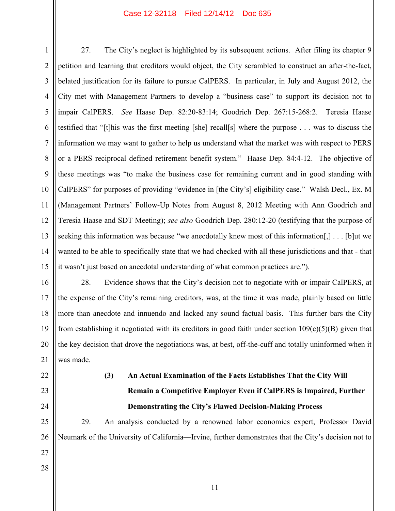1 2 3 4 5 6 7 8 9 10 11 12 13 14 15 27. The City's neglect is highlighted by its subsequent actions. After filing its chapter 9 petition and learning that creditors would object, the City scrambled to construct an after-the-fact, belated justification for its failure to pursue CalPERS. In particular, in July and August 2012, the City met with Management Partners to develop a "business case" to support its decision not to impair CalPERS. *See* Haase Dep. 82:20-83:14; Goodrich Dep. 267:15-268:2. Teresia Haase testified that "[t]his was the first meeting [she] recall[s] where the purpose . . . was to discuss the information we may want to gather to help us understand what the market was with respect to PERS or a PERS reciprocal defined retirement benefit system." Haase Dep. 84:4-12. The objective of these meetings was "to make the business case for remaining current and in good standing with CalPERS" for purposes of providing "evidence in [the City's] eligibility case." Walsh Decl., Ex. M (Management Partners' Follow-Up Notes from August 8, 2012 Meeting with Ann Goodrich and Teresia Haase and SDT Meeting); *see also* Goodrich Dep. 280:12-20 (testifying that the purpose of seeking this information was because "we anecdotally knew most of this information[,] . . . [b]ut we wanted to be able to specifically state that we had checked with all these jurisdictions and that - that it wasn't just based on anecdotal understanding of what common practices are.").

16 17 18 19 20 21 28. Evidence shows that the City's decision not to negotiate with or impair CalPERS, at the expense of the City's remaining creditors, was, at the time it was made, plainly based on little more than anecdote and innuendo and lacked any sound factual basis. This further bars the City from establishing it negotiated with its creditors in good faith under section  $109(c)(5)(B)$  given that the key decision that drove the negotiations was, at best, off-the-cuff and totally uninformed when it was made.

22 23

24

# **(3) An Actual Examination of the Facts Establishes That the City Will Remain a Competitive Employer Even if CalPERS is Impaired, Further Demonstrating the City's Flawed Decision-Making Process**

25 26 29. An analysis conducted by a renowned labor economics expert, Professor David Neumark of the University of California—Irvine, further demonstrates that the City's decision not to

28

27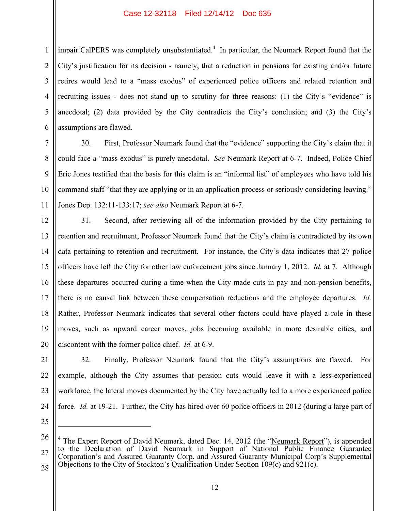1 2 3 4 5 6 impair CalPERS was completely unsubstantiated.<sup>4</sup> In particular, the Neumark Report found that the City's justification for its decision - namely, that a reduction in pensions for existing and/or future retires would lead to a "mass exodus" of experienced police officers and related retention and recruiting issues - does not stand up to scrutiny for three reasons: (1) the City's "evidence" is anecdotal; (2) data provided by the City contradicts the City's conclusion; and (3) the City's assumptions are flawed.

30. First, Professor Neumark found that the "evidence" supporting the City's claim that it could face a "mass exodus" is purely anecdotal. *See* Neumark Report at 6-7. Indeed, Police Chief Eric Jones testified that the basis for this claim is an "informal list" of employees who have told his command staff "that they are applying or in an application process or seriously considering leaving." Jones Dep. 132:11-133:17; *see also* Neumark Report at 6-7.

12 13 14 15 16 17 18 31. Second, after reviewing all of the information provided by the City pertaining to retention and recruitment, Professor Neumark found that the City's claim is contradicted by its own data pertaining to retention and recruitment. For instance, the City's data indicates that 27 police officers have left the City for other law enforcement jobs since January 1, 2012. *Id.* at 7. Although these departures occurred during a time when the City made cuts in pay and non-pension benefits, there is no causal link between these compensation reductions and the employee departures. *Id.* Rather, Professor Neumark indicates that several other factors could have played a role in these moves, such as upward career moves, jobs becoming available in more desirable cities, and discontent with the former police chief. *Id.* at 6-9.

 $\overline{a}$ 

7

8

9

10

11

32. Finally, Professor Neumark found that the City's assumptions are flawed. For example, although the City assumes that pension cuts would leave it with a less-experienced workforce, the lateral moves documented by the City have actually led to a more experienced police force. *Id.* at 19-21. Further, the City has hired over 60 police officers in 2012 (during a large part of

27 4 The Expert Report of David Neumark, dated Dec. 14, 2012 (the "Neumark Report"), is appended to the Declaration of David Neumark in Support of National Public Finance Guarantee Corporation's and Assured Guaranty Corp. and Assured Guaranty Municipal Corp's Supplemental Objections to the City of Stockton's Qualification Under Section 109(c) and 921(c).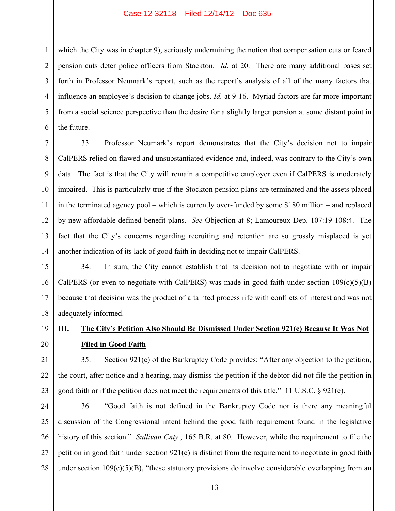1 2 3 4 which the City was in chapter 9), seriously undermining the notion that compensation cuts or feared pension cuts deter police officers from Stockton. *Id.* at 20. There are many additional bases set forth in Professor Neumark's report, such as the report's analysis of all of the many factors that influence an employee's decision to change jobs. *Id.* at 9-16. Myriad factors are far more important from a social science perspective than the desire for a slightly larger pension at some distant point in the future.

33. Professor Neumark's report demonstrates that the City's decision not to impair CalPERS relied on flawed and unsubstantiated evidence and, indeed, was contrary to the City's own data. The fact is that the City will remain a competitive employer even if CalPERS is moderately impaired. This is particularly true if the Stockton pension plans are terminated and the assets placed in the terminated agency pool – which is currently over-funded by some \$180 million – and replaced by new affordable defined benefit plans. *See* Objection at 8; Lamoureux Dep. 107:19-108:4. The fact that the City's concerns regarding recruiting and retention are so grossly misplaced is yet another indication of its lack of good faith in deciding not to impair CalPERS.

34. In sum, the City cannot establish that its decision not to negotiate with or impair CalPERS (or even to negotiate with CalPERS) was made in good faith under section  $109(c)(5)(B)$ because that decision was the product of a tainted process rife with conflicts of interest and was not adequately informed.

# **III. The City's Petition Also Should Be Dismissed Under Section 921(c) Because It Was Not Filed in Good Faith**

35. Section 921(c) of the Bankruptcy Code provides: "After any objection to the petition, the court, after notice and a hearing, may dismiss the petition if the debtor did not file the petition in good faith or if the petition does not meet the requirements of this title." 11 U.S.C. § 921(c).

27 28 36. "Good faith is not defined in the Bankruptcy Code nor is there any meaningful discussion of the Congressional intent behind the good faith requirement found in the legislative history of this section." *Sullivan Cnty.*, 165 B.R. at 80. However, while the requirement to file the petition in good faith under section 921(c) is distinct from the requirement to negotiate in good faith under section  $109(c)(5)(B)$ , "these statutory provisions do involve considerable overlapping from an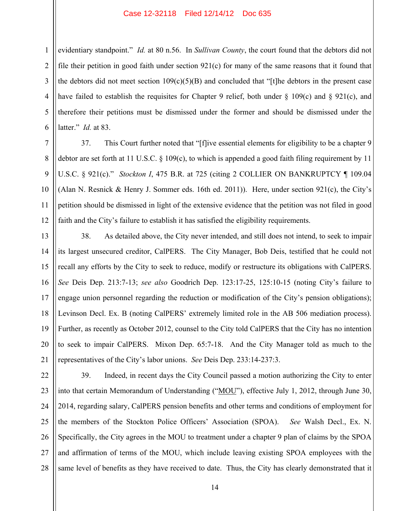1 2 3 4 evidentiary standpoint." *Id.* at 80 n.56. In *Sullivan County*, the court found that the debtors did not file their petition in good faith under section  $921(c)$  for many of the same reasons that it found that the debtors did not meet section  $109(c)(5)(B)$  and concluded that "[t]he debtors in the present case have failed to establish the requisites for Chapter 9 relief, both under  $\S$  109(c) and  $\S$  921(c), and therefore their petitions must be dismissed under the former and should be dismissed under the latter." *Id.* at 83.

37. This Court further noted that "[f]ive essential elements for eligibility to be a chapter 9 debtor are set forth at 11 U.S.C. § 109(c), to which is appended a good faith filing requirement by 11 U.S.C. § 921(c)." *Stockton I*, 475 B.R. at 725 (citing 2 COLLIER ON BANKRUPTCY ¶ 109.04 (Alan N. Resnick & Henry J. Sommer eds. 16th ed. 2011)). Here, under section 921(c), the City's petition should be dismissed in light of the extensive evidence that the petition was not filed in good faith and the City's failure to establish it has satisfied the eligibility requirements.

38. As detailed above, the City never intended, and still does not intend, to seek to impair its largest unsecured creditor, CalPERS. The City Manager, Bob Deis, testified that he could not recall any efforts by the City to seek to reduce, modify or restructure its obligations with CalPERS. *See* Deis Dep. 213:7-13; *see also* Goodrich Dep. 123:17-25, 125:10-15 (noting City's failure to engage union personnel regarding the reduction or modification of the City's pension obligations); Levinson Decl. Ex. B (noting CalPERS' extremely limited role in the AB 506 mediation process). Further, as recently as October 2012, counsel to the City told CalPERS that the City has no intention to seek to impair CalPERS. Mixon Dep. 65:7-18. And the City Manager told as much to the representatives of the City's labor unions. *See* Deis Dep. 233:14-237:3.

26 27 28 39. Indeed, in recent days the City Council passed a motion authorizing the City to enter into that certain Memorandum of Understanding ("MOU"), effective July 1, 2012, through June 30, 2014, regarding salary, CalPERS pension benefits and other terms and conditions of employment for the members of the Stockton Police Officers' Association (SPOA). *See* Walsh Decl., Ex. N. Specifically, the City agrees in the MOU to treatment under a chapter 9 plan of claims by the SPOA and affirmation of terms of the MOU, which include leaving existing SPOA employees with the same level of benefits as they have received to date. Thus, the City has clearly demonstrated that it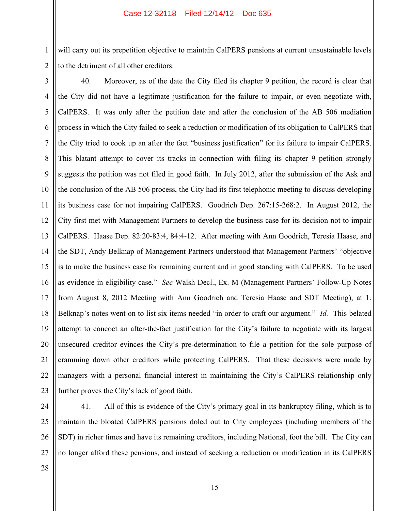will carry out its prepetition objective to maintain CalPERS pensions at current unsustainable levels to the detriment of all other creditors.

1

2

3 4 5 6 7 8 9 10 11 12 13 14 15 16 17 18 19 20 21 22 23 40. Moreover, as of the date the City filed its chapter 9 petition, the record is clear that the City did not have a legitimate justification for the failure to impair, or even negotiate with, CalPERS. It was only after the petition date and after the conclusion of the AB 506 mediation process in which the City failed to seek a reduction or modification of its obligation to CalPERS that the City tried to cook up an after the fact "business justification" for its failure to impair CalPERS. This blatant attempt to cover its tracks in connection with filing its chapter 9 petition strongly suggests the petition was not filed in good faith. In July 2012, after the submission of the Ask and the conclusion of the AB 506 process, the City had its first telephonic meeting to discuss developing its business case for not impairing CalPERS. Goodrich Dep. 267:15-268:2. In August 2012, the City first met with Management Partners to develop the business case for its decision not to impair CalPERS. Haase Dep. 82:20-83:4, 84:4-12. After meeting with Ann Goodrich, Teresia Haase, and the SDT, Andy Belknap of Management Partners understood that Management Partners' "objective is to make the business case for remaining current and in good standing with CalPERS. To be used as evidence in eligibility case." *See* Walsh Decl., Ex. M (Management Partners' Follow-Up Notes from August 8, 2012 Meeting with Ann Goodrich and Teresia Haase and SDT Meeting), at 1. Belknap's notes went on to list six items needed "in order to craft our argument." *Id.* This belated attempt to concoct an after-the-fact justification for the City's failure to negotiate with its largest unsecured creditor evinces the City's pre-determination to file a petition for the sole purpose of cramming down other creditors while protecting CalPERS. That these decisions were made by managers with a personal financial interest in maintaining the City's CalPERS relationship only further proves the City's lack of good faith.

24 25

26

27

41. All of this is evidence of the City's primary goal in its bankruptcy filing, which is to maintain the bloated CalPERS pensions doled out to City employees (including members of the SDT) in richer times and have its remaining creditors, including National, foot the bill. The City can no longer afford these pensions, and instead of seeking a reduction or modification in its CalPERS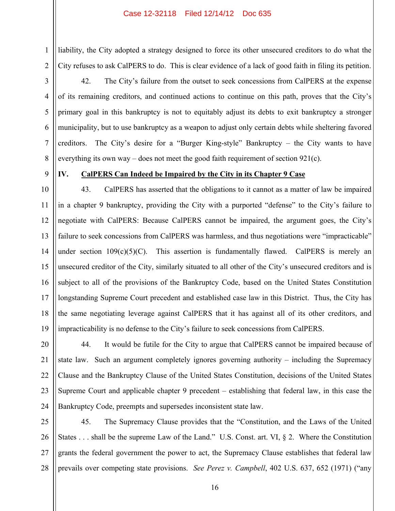liability, the City adopted a strategy designed to force its other unsecured creditors to do what the City refuses to ask CalPERS to do. This is clear evidence of a lack of good faith in filing its petition.

42. The City's failure from the outset to seek concessions from CalPERS at the expense of its remaining creditors, and continued actions to continue on this path, proves that the City's primary goal in this bankruptcy is not to equitably adjust its debts to exit bankruptcy a stronger municipality, but to use bankruptcy as a weapon to adjust only certain debts while sheltering favored creditors. The City's desire for a "Burger King-style" Bankruptcy – the City wants to have everything its own way – does not meet the good faith requirement of section  $921(c)$ .

9

1

2

3

4

5

6

7

8

# **IV. CalPERS Can Indeed be Impaired by the City in its Chapter 9 Case**

10 11 12 13 14 15 16 17 18 19 43. CalPERS has asserted that the obligations to it cannot as a matter of law be impaired in a chapter 9 bankruptcy, providing the City with a purported "defense" to the City's failure to negotiate with CalPERS: Because CalPERS cannot be impaired, the argument goes, the City's failure to seek concessions from CalPERS was harmless, and thus negotiations were "impracticable" under section  $109(c)(5)(C)$ . This assertion is fundamentally flawed. CalPERS is merely an unsecured creditor of the City, similarly situated to all other of the City's unsecured creditors and is subject to all of the provisions of the Bankruptcy Code, based on the United States Constitution longstanding Supreme Court precedent and established case law in this District. Thus, the City has the same negotiating leverage against CalPERS that it has against all of its other creditors, and impracticability is no defense to the City's failure to seek concessions from CalPERS.

20 21 22 23 24 44. It would be futile for the City to argue that CalPERS cannot be impaired because of state law. Such an argument completely ignores governing authority – including the Supremacy Clause and the Bankruptcy Clause of the United States Constitution, decisions of the United States Supreme Court and applicable chapter 9 precedent – establishing that federal law, in this case the Bankruptcy Code, preempts and supersedes inconsistent state law.

25 26 27 28 45. The Supremacy Clause provides that the "Constitution, and the Laws of the United States . . . shall be the supreme Law of the Land." U.S. Const. art. VI, § 2. Where the Constitution grants the federal government the power to act, the Supremacy Clause establishes that federal law prevails over competing state provisions. *See Perez v. Campbell*, 402 U.S. 637, 652 (1971) ("any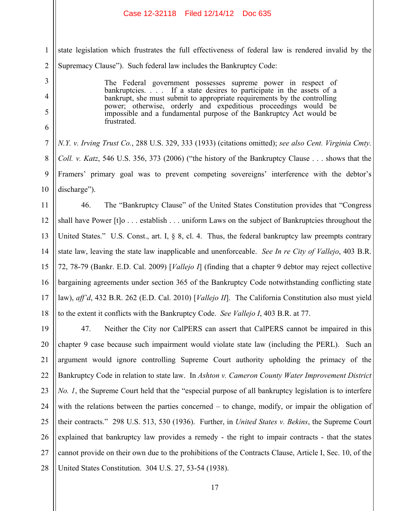3

4

5

6

1 2 state legislation which frustrates the full effectiveness of federal law is rendered invalid by the Supremacy Clause"). Such federal law includes the Bankruptcy Code:

> The Federal government possesses supreme power in respect of bankruptcies. . . . If a state desires to participate in the assets of a bankrupt, she must submit to appropriate requirements by the controlling power; otherwise, orderly and expeditious proceedings would be impossible and a fundamental purpose of the Bankruptcy Act would be frustrated.

7 8 9 10 *N.Y. v. Irving Trust Co.*, 288 U.S. 329, 333 (1933) (citations omitted); *see also Cent. Virginia Cmty. Coll. v. Katz*, 546 U.S. 356, 373 (2006) ("the history of the Bankruptcy Clause . . . shows that the Framers' primary goal was to prevent competing sovereigns' interference with the debtor's discharge").

11 12 13 14 15 16 17 18 46. The "Bankruptcy Clause" of the United States Constitution provides that "Congress shall have Power [t]o . . . establish . . . uniform Laws on the subject of Bankruptcies throughout the United States." U.S. Const., art. I, § 8, cl. 4. Thus, the federal bankruptcy law preempts contrary state law, leaving the state law inapplicable and unenforceable. *See In re City of Vallejo*, 403 B.R. 72, 78-79 (Bankr. E.D. Cal. 2009) [*Vallejo I*] (finding that a chapter 9 debtor may reject collective bargaining agreements under section 365 of the Bankruptcy Code notwithstanding conflicting state law), *aff'd*, 432 B.R. 262 (E.D. Cal. 2010) [*Vallejo II*]. The California Constitution also must yield to the extent it conflicts with the Bankruptcy Code. *See Vallejo I*, 403 B.R. at 77.

19 20 21 22 23 24 25 26 27 28 47. Neither the City nor CalPERS can assert that CalPERS cannot be impaired in this chapter 9 case because such impairment would violate state law (including the PERL). Such an argument would ignore controlling Supreme Court authority upholding the primacy of the Bankruptcy Code in relation to state law. In *Ashton v. Cameron County Water Improvement District No. 1*, the Supreme Court held that the "especial purpose of all bankruptcy legislation is to interfere with the relations between the parties concerned – to change, modify, or impair the obligation of their contracts." 298 U.S. 513, 530 (1936). Further, in *United States v. Bekins*, the Supreme Court explained that bankruptcy law provides a remedy - the right to impair contracts - that the states cannot provide on their own due to the prohibitions of the Contracts Clause, Article I, Sec. 10, of the United States Constitution. 304 U.S. 27, 53-54 (1938).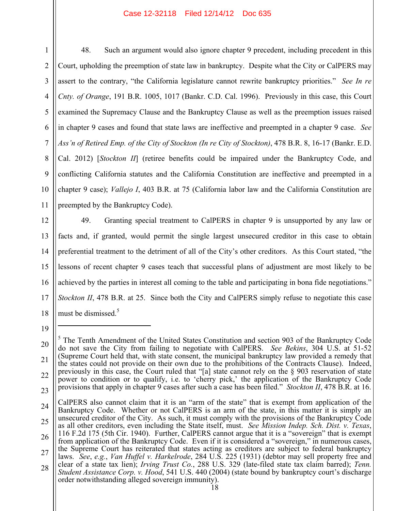1 2 3 4 5 6 7 8 9 48. Such an argument would also ignore chapter 9 precedent, including precedent in this Court, upholding the preemption of state law in bankruptcy. Despite what the City or CalPERS may assert to the contrary, "the California legislature cannot rewrite bankruptcy priorities." *See In re Cnty. of Orange*, 191 B.R. 1005, 1017 (Bankr. C.D. Cal. 1996). Previously in this case, this Court examined the Supremacy Clause and the Bankruptcy Clause as well as the preemption issues raised in chapter 9 cases and found that state laws are ineffective and preempted in a chapter 9 case. *See Ass'n of Retired Emp. of the City of Stockton (In re City of Stockton)*, 478 B.R. 8, 16-17 (Bankr. E.D. Cal. 2012) [*Stockton II*] (retiree benefits could be impaired under the Bankruptcy Code, and conflicting California statutes and the California Constitution are ineffective and preempted in a

10 11 chapter 9 case); *Vallejo I*, 403 B.R. at 75 (California labor law and the California Constitution are preempted by the Bankruptcy Code).

12 13 14 15 16 17 18 49. Granting special treatment to CalPERS in chapter 9 is unsupported by any law or facts and, if granted, would permit the single largest unsecured creditor in this case to obtain preferential treatment to the detriment of all of the City's other creditors. As this Court stated, "the lessons of recent chapter 9 cases teach that successful plans of adjustment are most likely to be achieved by the parties in interest all coming to the table and participating in bona fide negotiations." *Stockton II*, 478 B.R. at 25. Since both the City and CalPERS simply refuse to negotiate this case must be dismissed  $5$ 

<sup>19</sup>

<sup>20</sup> 21 22 23 5 The Tenth Amendment of the United States Constitution and section 903 of the Bankruptcy Code do not save the City from failing to negotiate with CalPERS. *See Bekins*, 304 U.S. at 51-52 (Supreme Court held that, with state consent, the municipal bankruptcy law provided a remedy that the states could not provide on their own due to the prohibitions of the Contracts Clause). Indeed, previously in this case, the Court ruled that "[a] state cannot rely on the § 903 reservation of state power to condition or to qualify, i.e. to 'cherry pick,' the application of the Bankruptcy Code provisions that apply in chapter 9 cases after such a case has been filed." *Stockton II*, 478 B.R. at 16.

<sup>24</sup> 25 26 27 28 CalPERS also cannot claim that it is an "arm of the state" that is exempt from application of the Bankruptcy Code. Whether or not CalPERS is an arm of the state, in this matter it is simply an unsecured creditor of the City. As such, it must comply with the provisions of the Bankruptcy Code as all other creditors, even including the State itself, must. *See Mission Indep. Sch. Dist. v. Texas*, 116 F.2d 175 (5th Cir. 1940). Further, CalPERS cannot argue that it is a "sovereign" that is exempt from application of the Bankruptcy Code. Even if it is considered a "sovereign," in numerous cases, the Supreme Court has reiterated that states acting as creditors are subject to federal bankruptcy laws. *See*, *e.g.*, *Van Huffel v. Harkelrode*, 284 U.S. 225 (1931) (debtor may sell property free and clear of a state tax lien); *Irving Trust Co.*, 288 U.S. 329 (late-filed state tax claim barred); *Tenn. Student Assistance Corp. v. Hood*, 541 U.S. 440 (2004) (state bound by bankruptcy court's discharge order notwithstanding alleged sovereign immunity).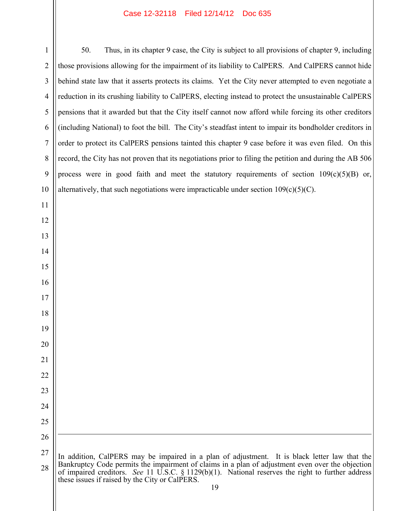| $\mathbf{1}$   | 50.<br>Thus, in its chapter 9 case, the City is subject to all provisions of chapter 9, including                                                                                                                                                                                                                                                              |
|----------------|----------------------------------------------------------------------------------------------------------------------------------------------------------------------------------------------------------------------------------------------------------------------------------------------------------------------------------------------------------------|
| $\overline{2}$ | those provisions allowing for the impairment of its liability to CalPERS. And CalPERS cannot hide                                                                                                                                                                                                                                                              |
| 3              | behind state law that it asserts protects its claims. Yet the City never attempted to even negotiate a                                                                                                                                                                                                                                                         |
| $\overline{4}$ | reduction in its crushing liability to CalPERS, electing instead to protect the unsustainable CalPERS                                                                                                                                                                                                                                                          |
| 5              | pensions that it awarded but that the City itself cannot now afford while forcing its other creditors                                                                                                                                                                                                                                                          |
| 6              | (including National) to foot the bill. The City's steadfast intent to impair its bondholder creditors in                                                                                                                                                                                                                                                       |
| $\overline{7}$ | order to protect its CalPERS pensions tainted this chapter 9 case before it was even filed. On this                                                                                                                                                                                                                                                            |
| 8              | record, the City has not proven that its negotiations prior to filing the petition and during the AB 506                                                                                                                                                                                                                                                       |
| 9              | process were in good faith and meet the statutory requirements of section 109(c)(5)(B) or,                                                                                                                                                                                                                                                                     |
| 10             | alternatively, that such negotiations were impracticable under section $109(c)(5)(C)$ .                                                                                                                                                                                                                                                                        |
| 11             |                                                                                                                                                                                                                                                                                                                                                                |
| 12             |                                                                                                                                                                                                                                                                                                                                                                |
| 13             |                                                                                                                                                                                                                                                                                                                                                                |
| 14             |                                                                                                                                                                                                                                                                                                                                                                |
| 15             |                                                                                                                                                                                                                                                                                                                                                                |
| 16             |                                                                                                                                                                                                                                                                                                                                                                |
| 17             |                                                                                                                                                                                                                                                                                                                                                                |
| 18             |                                                                                                                                                                                                                                                                                                                                                                |
| 19             |                                                                                                                                                                                                                                                                                                                                                                |
| 20             |                                                                                                                                                                                                                                                                                                                                                                |
| 21             |                                                                                                                                                                                                                                                                                                                                                                |
| 22             |                                                                                                                                                                                                                                                                                                                                                                |
| 23             |                                                                                                                                                                                                                                                                                                                                                                |
| 24             |                                                                                                                                                                                                                                                                                                                                                                |
| 25             |                                                                                                                                                                                                                                                                                                                                                                |
| 26             |                                                                                                                                                                                                                                                                                                                                                                |
| 27<br>28       | In addition, CalPERS may be impaired in a plan of adjustment. It is black letter law that the<br>Bankruptcy Code permits the impairment of claims in a plan of adjustment even over the objection<br>of impaired creditors. See 11 U.S.C. § 1129(b)(1). National reserves the right to further address<br>these issues if raised by the City or CalPERS.<br>19 |